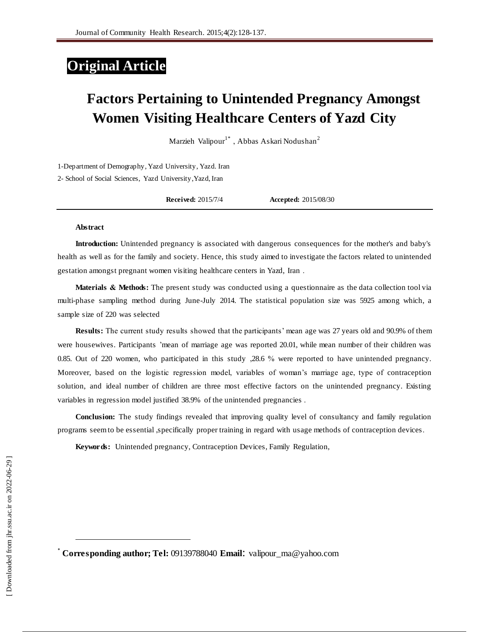# **Original Article**

# **Factors Pertaining to Unintended Pregnancy Amongst Women Visiting Healthcare Centers of Yazd City**

Marzieh [Valipour](http://jhr.ssu.ac.ir/search.php?slc_lang=en&sid=1&auth=Valipour) $^{1^*}$  [,](http://jhr.ssu.ac.ir/search.php?slc_lang=en&sid=1&auth=Askari+Nodushan) [Abbas Askari Nodushan](http://jhr.ssu.ac.ir/search.php?slc_lang=en&sid=1&auth=Askari+Nodushan) $^2$ 

1-Department of Demography, Yazd University, Yazd. Iran 2- School of Social Sciences, Yazd University,Yazd, Iran

**Received:** 2015/7/4 **Accepted:** 2015/08/30

#### **Abstract**

**Introduction:** Unintended pregnancy is associated with dangerous consequences for the mother's and baby's health as well as for the family and society. Hence, this study aimed to investigate the factors related to unintended gestation amongst pregnant women visiting healthcare centers in Yazd, Iran .

**Materials & Methods:** The present study was conducted using a questionnaire as the data collection tool via multi-phase sampling method during June-July 2014. The statistical population size was 5925 among which, a sample size of 220 was selected

**Results:** The current study results showed that the participants' mean age was 27 years old and 90.9% of them were housewives. Participants 'mean of marriage age was reported 20.01, while mean number of their children was 0.85. Out of 220 women, who participated in this study ,28.6 % were reported to have unintended pregnancy. Moreover, based on the logistic regression model, variables of woman's marriage age, type of contraception solution, and ideal number of children are three most effective factors on the unintended pregnancy. Existing variables in regression model justified 38.9% of the unintended pregnancies .

**Conclusion:** The study findings revealed that improving quality level of consultancy and family regulation programs seem to be essential ,specifically proper training in regard with usage methods of contraception devices.

**Keywords:** Unintended pregnancy, Contraception Devices, Family Regulation,

 $\ddot{\phantom{a}}$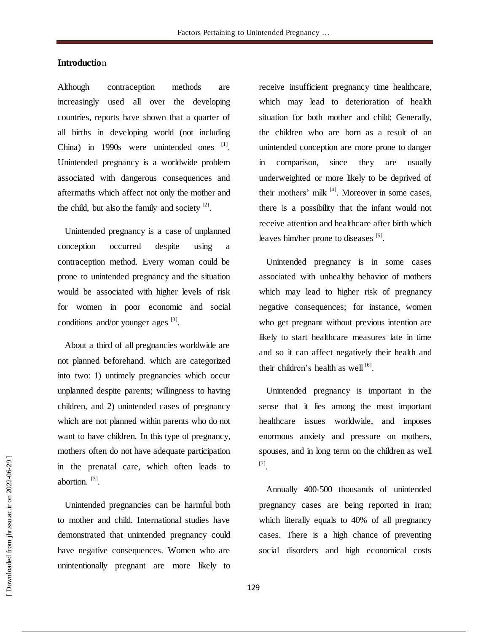#### **Introductio**n

Although contraception methods are increasingly used all over the developing countries, reports have shown that a quarter of all births in developing world (not including China) in 1990s were unintended ones  $[1]$ . Unintended pregnancy is a worldwide problem associated with dangerous consequences and aftermaths which affect not only the mother and the child, but also the family and society  $[2]$ .

Unintended pregnancy is a case of unplanned conception occurred despite using a contraception method. Every woman could be prone to unintended pregnancy and the situation would be associated with higher levels of risk for women in poor economic and social conditions and/or younger ages  $^{[3]}$ .

About a third of all pregnancies worldwide are not planned beforehand. which are categorized into two: 1) untimely pregnancies which occur unplanned despite parents; willingness to having children, and 2) unintended cases of pregnancy which are not planned within parents who do not want to have children. In this type of pregnancy, mothers often do not have adequate participation in the prenatal care, which often leads to abortion.<sup>[3]</sup>.

Unintended pregnancies can be harmful both to mother and child. International studies have demonstrated that unintended pregnancy could have negative consequences. Women who are unintentionally pregnant are more likely to receive insufficient pregnancy time healthcare, which may lead to deterioration of health situation for both mother and child; Generally, the children who are born as a result of an unintended conception are more prone to danger in comparison, since they are usually underweighted or more likely to be deprived of their mothers' milk  $^{[4]}$ . Moreover in some cases, there is a possibility that the infant would not receive attention and healthcare after birth which leaves him/her prone to diseases [5].

Unintended pregnancy is in some cases associated with unhealthy behavior of mothers which may lead to higher risk of pregnancy negative consequences; for instance, women who get pregnant without previous intention are likely to start healthcare measures late in time and so it can affect negatively their health and their children's health as well  $^{[6]}$ .

Unintended pregnancy is important in the sense that it lies among the most important healthcare issues worldwide, and imposes enormous anxiety and pressure on mothers, spouses, and in long term on the children as well [7] .

Annually 400-500 thousands of unintended pregnancy cases are being reported in Iran; which literally equals to 40% of all pregnancy cases. There is a high chance of preventing social disorders and high economical costs

129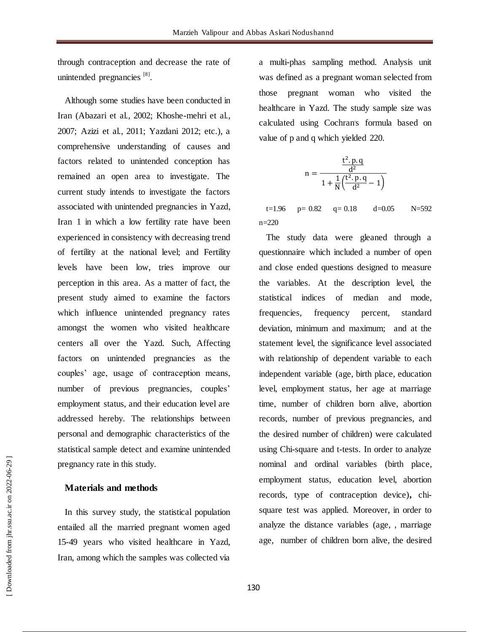through contraception and decrease the rate of unintended pregnancies [8].

Although some studies have been conducted in Iran (Abazari et al., 2002; Khoshe-mehri et al., 2007; Azizi et al., 2011; Yazdani 2012; etc.), a comprehensive understanding of causes and factors related to unintended conception has remained an open area to investigate. The current study intends to investigate the factors associated with unintended pregnancies in Yazd, Iran 1 in which a low fertility rate have been experienced in consistency with decreasing trend of fertility at the national level; and Fertility levels have been low, tries improve our perception in this area. As a matter of fact, the present study aimed to examine the factors which influence unintended pregnancy rates amongst the women who visited healthcare centers all over the Yazd. Such, Affecting factors on unintended pregnancies as the couples' age, usage of contraception means, number of previous pregnancies, couples' employment status, and their education level are addressed hereby. The relationships between personal and demographic characteristics of the statistical sample detect and examine unintended pregnancy rate in this study.

#### **Materials and methods**

In this survey study, the statistical population entailed all the married pregnant women aged 15-49 years who visited healthcare in Yazd, Iran, among which the samples was collected via

a multi-phas sampling method. Analysis unit was defined as a pregnant woman selected from those pregnant woman who visited the healthcare in Yazd. The study sample size was calculated using Cochran's formula based on value of p and q which yielded 220.

$$
n=\frac{\frac{t^2.p.q}{d^2}}{1+\frac{1}{N}\Big(\frac{t^2.p.q}{d^2}-1\Big)}
$$

 $t=1.96$   $p= 0.82$   $q= 0.18$   $d= 0.05$  N=592 n=220

The study data were gleaned through a questionnaire which included a number of open and close ended questions designed to measure the variables. At the description level, the statistical indices of median and mode, frequencies, frequency percent, standard deviation, minimum and maximum; and at the statement level, the significance level associated with relationship of dependent variable to each independent variable (age, birth place, education level, employment status, her age at marriage time, number of children born alive, abortion records, number of previous pregnancies, and the desired number of children) were calculated using Chi-square and t-tests. In order to analyze nominal and ordinal variables (birth place, employment status, education level, abortion records, type of contraception device)**,** chisquare test was applied. Moreover, in order to analyze the distance variables (age, , marriage age, number of children born alive, the desired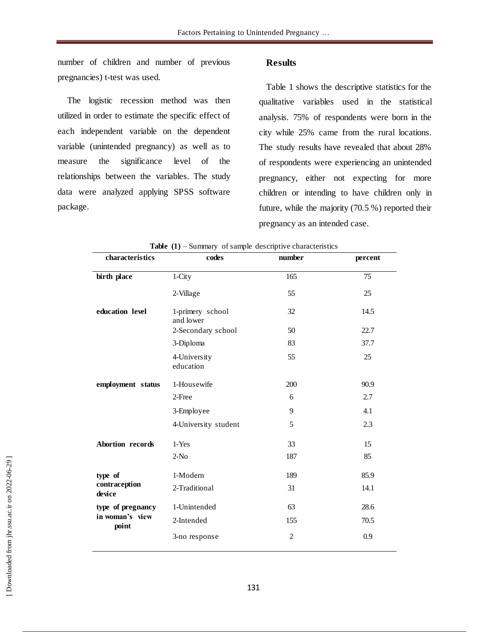number of children and number of previous pregnancies) t-test was used.

The logistic recession method was then utilized in order to estimate the specific effect of each independent variable on the dependent variable (unintended pregnancy) as well as to measure the significance level of the relationships between the variables. The study data were analyzed applying SPSS software package.

#### **Results**

Table 1 shows the descriptive statistics for the qualitative variables used in the statistical analysis. 75% of respondents were born in the city while 25% came from the rural locations. The study results have revealed that about 28% of respondents were experiencing an unintended pregnancy, either not expecting for more children or intending to have children only in future, while the majority (70.5 %) reported their pregnancy as an intended case.

| characteristics          | codes                         | number         | percent |
|--------------------------|-------------------------------|----------------|---------|
| birth place              | $1-City$                      | 165            | 75      |
|                          | 2-Village                     | 55             | 25      |
| education level          | 1-primery school<br>and lower | 32             | 14.5    |
|                          | 2-Secondary school            | 50             | 22.7    |
|                          | 3-Diploma                     | 83             | 37.7    |
|                          | 4-University<br>education     | 55             | 25      |
| employment status        | 1-Housewife                   | 200            | 90.9    |
|                          | 2-Free                        | 6              | 2.7     |
|                          | 3-Employee                    | 9              | 4.1     |
|                          | 4-University student          | 5              | 2.3     |
| Abortion records         | $1-Yes$                       | 33             | 15      |
|                          | $2-N0$                        | 187            | 85      |
| type of                  | 1-Modern                      | 189            | 85.9    |
| contraception<br>device  | 2-Traditional                 | 31             | 14.1    |
| type of pregnancy        | 1-Unintended                  | 63             | 28.6    |
| in woman's view<br>point | 2-Intended                    | 155            | 70.5    |
|                          | 3-no response                 | $\overline{c}$ | 0.9     |

**Table (1)** – Summary of sample descriptive characteristics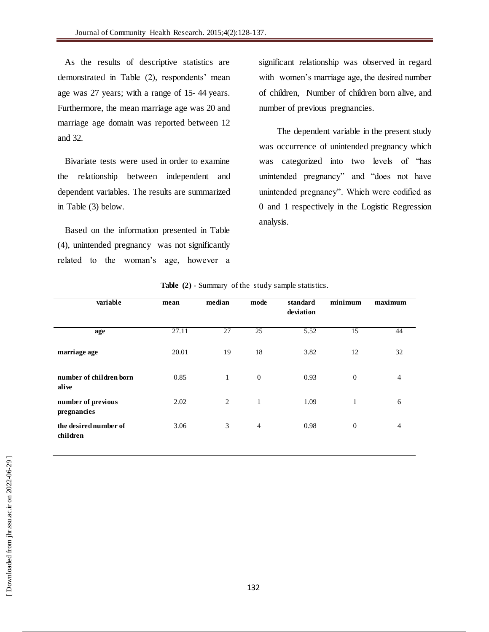As the results of descriptive statistics are demonstrated in Table (2), respondents' mean age was 27 years; with a range of 15- 44 years. Furthermore, the mean marriage age was 20 and marriage age domain was reported between 12 and 32.

Bivariate tests were used in order to examine the relationship between independent and dependent variables. The results are summarized in Table (3) below.

Based on the information presented in Table (4), unintended pregnancy was not significantly related to the woman's age, however a significant relationship was observed in regard with women's marriage age, the desired number of children, Number of children born alive, and number of previous pregnancies.

The dependent variable in the present study was occurrence of unintended pregnancy which was categorized into two levels of "has unintended pregnancy" and "does not have unintended pregnancy". Which were codified as 0 and 1 respectively in the Logistic Regression analysis.

|                                   |       | median | mode         | standard  | minimum      | maximum        |
|-----------------------------------|-------|--------|--------------|-----------|--------------|----------------|
| variable                          | mean  |        |              | deviation |              |                |
| age                               | 27.11 | 27     | 25           | 5.52      | 15           | 44             |
| marriage age                      | 20.01 | 19     | 18           | 3.82      | 12           | 32             |
| number of children born<br>alive  | 0.85  | 1      | $\mathbf{0}$ | 0.93      | $\mathbf{0}$ | $\overline{4}$ |
| number of previous<br>pregnancies | 2.02  | 2      | 1            | 1.09      | $\mathbf{1}$ | 6              |
| the desired number of<br>children | 3.06  | 3      | 4            | 0.98      | $\mathbf{0}$ | 4              |

**Table (2) -** Summary of the study sample statistics.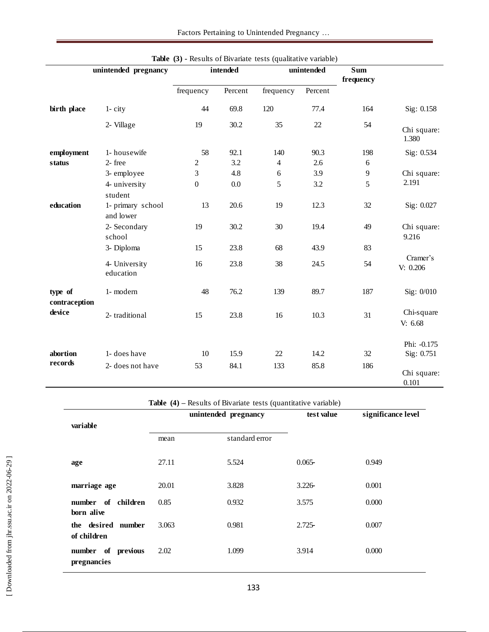| Factors Pertaining to Unintended Pregnancy |  |  |  |
|--------------------------------------------|--|--|--|
|--------------------------------------------|--|--|--|

| Table (3) - Results of Bivariate tests (qualitative variable) |                            |                  |         |                |            |                |                       |
|---------------------------------------------------------------|----------------------------|------------------|---------|----------------|------------|----------------|-----------------------|
|                                                               | unintended pregnancy       | intended         |         |                | unintended |                |                       |
|                                                               |                            | frequency        | Percent | frequency      | Percent    |                |                       |
| birth place                                                   | $1 - \text{city}$          | 44               | 69.8    | 120            | 77.4       | 164            | Sig: 0.158            |
|                                                               | 2- Village                 | 19               | 30.2    | 35             | 22         | 54             | Chi square:<br>1.380  |
| employment                                                    | 1- housewife               | 58               | 92.1    | 140            | 90.3       | 198            | Sig: 0.534            |
| status                                                        | 2-free                     | $\mathfrak{2}$   | 3.2     | $\overline{4}$ | 2.6        | 6              |                       |
|                                                               | 3- employee                | $\mathfrak{Z}$   | 4.8     | 6              | 3.9        | $\overline{9}$ | Chi square:           |
|                                                               | 4- university              | $\boldsymbol{0}$ | 0.0     | 5              | 3.2        | 5              | 2.191                 |
|                                                               | student                    |                  |         |                |            |                |                       |
| education                                                     | 1- primary school          | 13               | 20.6    | 19             | 12.3       | 32             | Sig: 0.027            |
|                                                               | and lower                  |                  |         |                |            |                |                       |
|                                                               | 2- Secondary               | 19               | 30.2    | 30             | 19.4       | 49             | Chi square:           |
|                                                               | school                     |                  |         |                |            |                | 9.216                 |
|                                                               | 3- Diploma                 | 15               | 23.8    | 68             | 43.9       | 83             |                       |
|                                                               | 4- University<br>education | 16               | 23.8    | 38             | 24.5       | 54             | Cramer's<br>V: 0.206  |
| type of<br>contraception                                      | 1- modern                  | 48               | 76.2    | 139            | 89.7       | 187            | Sig: 0/010            |
| device                                                        | 2-traditional              | 15               | 23.8    | 16             | 10.3       | 31             | Chi-square<br>V: 6.68 |
|                                                               |                            |                  |         |                |            |                | Phi: -0.175           |
| abortion                                                      | 1- does have               | 10               | 15.9    | 22             | 14.2       | 32             | Sig: 0.751            |
| records                                                       | 2- does not have           | 53               | 84.1    | 133            | 85.8       | 186            |                       |
|                                                               |                            |                  |         |                |            |                | Chi square:<br>0.101  |

|  | <b>able</b> $(3)$ - Results of Bivariate tests (qualitative variable) |  |  |
|--|-----------------------------------------------------------------------|--|--|

**Table (4) –** Results of Bivariate tests (quantitative variable)

| variable                          |       | unintended pregnancy | test value | significance level |
|-----------------------------------|-------|----------------------|------------|--------------------|
|                                   | mean  | standard error       |            |                    |
| age                               | 27.11 | 5.524                | $0.065 -$  | 0.949              |
| marriage age                      | 20.01 | 3.828                | $3.226 -$  | 0.001              |
| number of children<br>born alive  | 0.85  | 0.932                | 3.575      | 0.000              |
| the desired number<br>of children | 3.063 | 0.981                | $2.725 -$  | 0.007              |
| number of previous<br>pregnancies | 2.02  | 1.099                | 3.914      | 0.000              |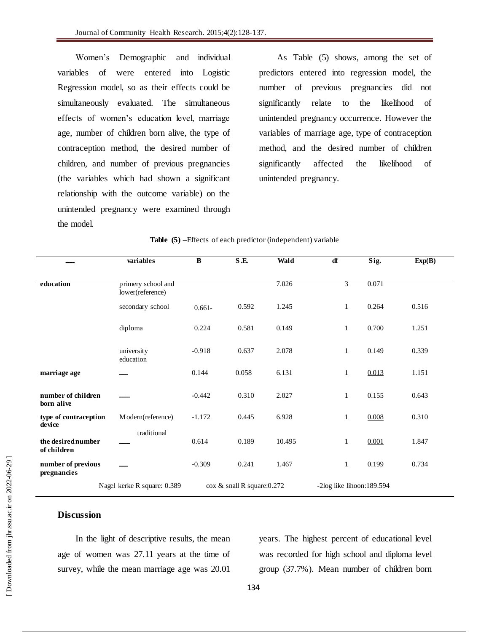Women's Demographic and individual variables of were entered into Logistic Regression model, so as their effects could be simultaneously evaluated. The simultaneous effects of women's education level, marriage age, number of children born alive, the type of contraception method, the desired number of children, and number of previous pregnancies (the variables which had shown a significant relationship with the outcome variable) on the unintended pregnancy were examined through the model.

As Table (5) shows, among the set of predictors entered into regression model, the number of previous pregnancies did not significantly relate to the likelihood of unintended pregnancy occurrence. However the variables of marriage age, type of contraception method, and the desired number of children significantly affected the likelihood of unintended pregnancy.

|  | Table (5) – Effects of each predictor (independent) variable |  |  |  |  |
|--|--------------------------------------------------------------|--|--|--|--|
|--|--------------------------------------------------------------|--|--|--|--|

|                                   | variables                              | $\bf{B}$  | S.E.                        | Wald   | df                        | Sig.  | Exp(B) |
|-----------------------------------|----------------------------------------|-----------|-----------------------------|--------|---------------------------|-------|--------|
| education                         | primery school and<br>lower(reference) |           |                             | 7.026  | $\overline{3}$            | 0.071 |        |
|                                   | secondary school                       | $0.661 -$ | 0.592                       | 1.245  | $\mathbf{1}$              | 0.264 | 0.516  |
|                                   | diploma                                | 0.224     | 0.581                       | 0.149  | $\mathbf{1}$              | 0.700 | 1.251  |
|                                   | university<br>education                | $-0.918$  | 0.637                       | 2.078  | $\mathbf{1}$              | 0.149 | 0.339  |
| marriage age                      |                                        | 0.144     | 0.058                       | 6.131  | $\mathbf{1}$              | 0.013 | 1.151  |
| number of children<br>born alive  |                                        | $-0.442$  | 0.310                       | 2.027  | $\mathbf{1}$              | 0.155 | 0.643  |
| type of contraception<br>device   | Modern(reference)                      | $-1.172$  | 0.445                       | 6.928  | $\mathbf{1}$              | 0.008 | 0.310  |
| the desired number<br>of children | traditional                            | 0.614     | 0.189                       | 10.495 | $\mathbf{1}$              | 0.001 | 1.847  |
| number of previous<br>pregnancies |                                        | $-0.309$  | 0.241                       | 1.467  | $\mathbf{1}$              | 0.199 | 0.734  |
|                                   | Nagel kerke R square: 0.389            |           | cox & snall R square: 0.272 |        | -2log like lihoon:189.594 |       |        |

### **Discussion**

In the light of descriptive results, the mean age of women was 27.11 years at the time of survey, while the mean marriage age was 20.01

years. The highest percent of educational level was recorded for high school and diploma level group (37.7%). Mean number of children born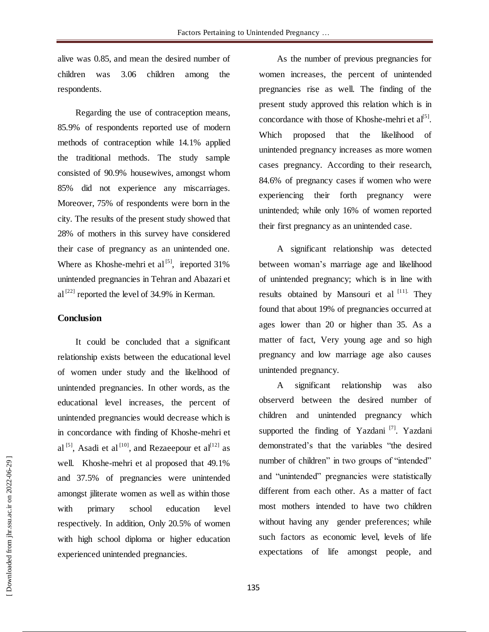alive was 0.85, and mean the desired number of children was 3.06 children among the respondents.

Regarding the use of contraception means, 85.9% of respondents reported use of modern methods of contraception while 14.1% applied the traditional methods. The study sample consisted of 90.9% housewives, amongst whom 85% did not experience any miscarriages. Moreover, 75% of respondents were born in the city. The results of the present study showed that 28% of mothers in this survey have considered their case of pregnancy as an unintended one. Where as Khoshe-mehri et al<sup>[5]</sup>, ireported 31% unintended pregnancies in Tehran and Abazari et al<sup>[22]</sup> reported the level of 34.9% in Kerman.

### **Conclusion**

It could be concluded that a significant relationship exists between the educational level of women under study and the likelihood of unintended pregnancies. In other words, as the educational level increases, the percent of unintended pregnancies would decrease which is in concordance with finding of Khoshe-mehri et al <sup>[5]</sup>, Asadi et al<sup>[10]</sup>, and Rezaeepour et al<sup>[12]</sup> as well. Khoshe-mehri et al proposed that 49.1% and 37.5% of pregnancies were unintended amongst jiliterate women as well as within those with primary school education level respectively. In addition, Only 20.5% of women with high school diploma or higher education experienced unintended pregnancies.

As the number of previous pregnancies for women increases, the percent of unintended pregnancies rise as well. The finding of the present study approved this relation which is in concordance with those of Khoshe-mehri et  $al^{[5]}$ . Which proposed that the likelihood of unintended pregnancy increases as more women cases pregnancy. According to their research, 84.6% of pregnancy cases if women who were experiencing their forth pregnancy were unintended; while only 16% of women reported their first pregnancy as an unintended case.

A significant relationship was detected between woman's marriage age and likelihood of unintended pregnancy; which is in line with results obtained by Mansouri et al  $[11]$ . They found that about 19% of pregnancies occurred at ages lower than 20 or higher than 35. As a matter of fact, Very young age and so high pregnancy and low marriage age also causes unintended pregnancy.

A significant relationship was also observerd between the desired number of children and unintended pregnancy which supported the finding of Yazdani  $[7]$ . Yazdani demonstrated's that the variables "the desired number of children" in two groups of "intended" and "unintended" pregnancies were statistically different from each other. As a matter of fact most mothers intended to have two children without having any gender preferences; while such factors as economic level, levels of life expectations of life amongst people, and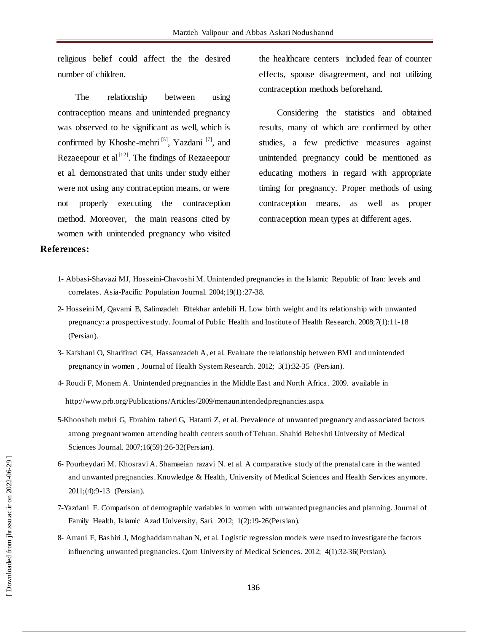religious belief could affect the the desired number of children.

The relationship between using contraception means and unintended pregnancy was observed to be significant as well, which is confirmed by Khoshe-mehri<sup>[5]</sup>, Yazdani<sup>[7]</sup>, and Rezaeepour et  $al^{[12]}$ . The findings of Rezaeepour et al. demonstrated that units under study either were not using any contraception means, or were not properly executing the contraception method. Moreover, the main reasons cited by women with unintended pregnancy who visited

## the healthcare centers included fear of counter effects, spouse disagreement, and not utilizing contraception methods beforehand.

Considering the statistics and obtained results, many of which are confirmed by other studies, a few predictive measures against unintended pregnancy could be mentioned as educating mothers in regard with appropriate timing for pregnancy. Proper methods of using contraception means, as well as proper contraception mean types at different ages.

#### **References:**

- 1- Abbasi-Shavazi MJ, Hosseini-Chavoshi M. Unintended pregnancies in the Islamic Republic of Iran: levels and correlates. Asia-Pacific Population Journal. 2004;19(1):27-38.
- 2- Hosseini M, Qavami B, Salimzadeh Eftekhar ardebili H. Low birth weight and its relationship with unwanted pregnancy: a prospective study.Journal of Public Health and Institute of Health Research. 2008;7(1):11-18 (Persian).
- 3- Kafshani O, Sharifirad GH, Hassanzadeh A, et al. Evaluate the relationship between BMI and unintended pregnancy in women , Journal of Health System Research. 2012; 3(1):32-35 (Persian).
- 4- Roudi F, Monem A. Unintended pregnancies in the Middle East and North Africa. 2009. available in http://www.prb.org/Publications/Articles/2009/menaunintendedpregnancies.aspx
- 5-Khoosheh mehri G, Ebrahim taheri G, Hatami Z, et al. Prevalence of unwanted pregnancy and associated factors among pregnant women attending health centers south of Tehran. Shahid Beheshti University of Medical Sciences Journal. 2007;16(59):26-32(Persian).
- 6- Pourheydari M. Khosravi A. Shamaeian razavi N. et al. A comparative study of the prenatal care in the wanted and unwanted pregnancies.Knowledge & Health, University of Medical Sciences and Health Services anymore. 2011;(4):9-13 (Persian).
- 7-Yazdani F. Comparison of demographic variables in women with unwanted pregnancies and planning. Journal of Family Health, Islamic Azad University, Sari. 2012; 1(2):19-26(Persian).
- 8- Amani F, Bashiri J, Moghaddam nahan N, et al. Logistic regression models were used to investigate the factors influencing unwanted pregnancies. Qom University of Medical Sciences. 2012; 4(1):32-36(Persian).